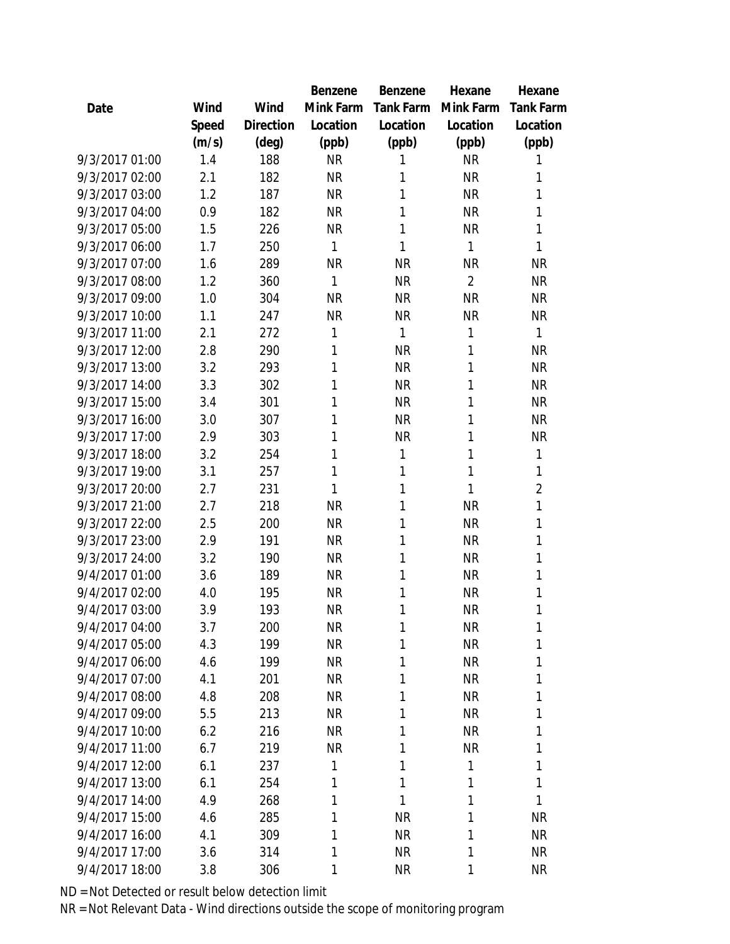|                |       |           | Benzene   | Benzene   | Hexane         | Hexane           |
|----------------|-------|-----------|-----------|-----------|----------------|------------------|
| Date           | Wind  | Wind      | Mink Farm | Tank Farm | Mink Farm      | <b>Tank Farm</b> |
|                | Speed | Direction | Location  | Location  | Location       | Location         |
|                | (m/s) | (deg)     | (ppb)     | (ppb)     | (ppb)          | (ppb)            |
| 9/3/2017 01:00 | 1.4   | 188       | <b>NR</b> | 1         | <b>NR</b>      | 1                |
| 9/3/2017 02:00 | 2.1   | 182       | <b>NR</b> | 1         | <b>NR</b>      | 1                |
| 9/3/2017 03:00 | 1.2   | 187       | <b>NR</b> | 1         | <b>NR</b>      | 1                |
| 9/3/2017 04:00 | 0.9   | 182       | <b>NR</b> | 1         | <b>NR</b>      | 1                |
| 9/3/2017 05:00 | 1.5   | 226       | <b>NR</b> | 1         | <b>NR</b>      | 1                |
| 9/3/2017 06:00 | 1.7   | 250       | 1         | 1         | 1              | 1                |
| 9/3/2017 07:00 | 1.6   | 289       | <b>NR</b> | <b>NR</b> | <b>NR</b>      | <b>NR</b>        |
| 9/3/2017 08:00 | 1.2   | 360       | 1         | <b>NR</b> | $\overline{2}$ | <b>NR</b>        |
| 9/3/2017 09:00 | 1.0   | 304       | <b>NR</b> | <b>NR</b> | <b>NR</b>      | <b>NR</b>        |
| 9/3/2017 10:00 | 1.1   | 247       | <b>NR</b> | <b>NR</b> | <b>NR</b>      | <b>NR</b>        |
| 9/3/2017 11:00 | 2.1   | 272       | 1         | 1         | 1              | 1                |
| 9/3/2017 12:00 | 2.8   | 290       | 1         | <b>NR</b> | 1              | <b>NR</b>        |
| 9/3/2017 13:00 | 3.2   | 293       | 1         | <b>NR</b> | 1              | <b>NR</b>        |
| 9/3/2017 14:00 | 3.3   | 302       | 1         | <b>NR</b> | 1              | <b>NR</b>        |
| 9/3/2017 15:00 | 3.4   | 301       | 1         | <b>NR</b> | 1              | <b>NR</b>        |
| 9/3/2017 16:00 | 3.0   | 307       | 1         | <b>NR</b> | 1              | <b>NR</b>        |
| 9/3/2017 17:00 | 2.9   | 303       | 1         | <b>NR</b> | 1              | <b>NR</b>        |
| 9/3/2017 18:00 | 3.2   | 254       | 1         | 1         | 1              | 1                |
| 9/3/2017 19:00 | 3.1   | 257       | 1         | 1         | 1              | 1                |
| 9/3/2017 20:00 | 2.7   | 231       | 1         | 1         | 1              | $\overline{a}$   |
| 9/3/2017 21:00 | 2.7   | 218       | <b>NR</b> | 1         | <b>NR</b>      | 1                |
| 9/3/2017 22:00 | 2.5   | 200       | <b>NR</b> | 1         | <b>NR</b>      | 1                |
| 9/3/2017 23:00 | 2.9   | 191       | <b>NR</b> | 1         | <b>NR</b>      | 1                |
| 9/3/2017 24:00 | 3.2   | 190       | <b>NR</b> | 1         | <b>NR</b>      | 1                |
| 9/4/2017 01:00 | 3.6   | 189       | <b>NR</b> | 1         | <b>NR</b>      | 1                |
| 9/4/2017 02:00 | 4.0   | 195       | <b>NR</b> | 1         | <b>NR</b>      | 1                |
| 9/4/2017 03:00 | 3.9   | 193       | <b>NR</b> | 1         | <b>NR</b>      | 1                |
| 9/4/2017 04:00 | 3.7   | 200       | <b>NR</b> | 1         | <b>NR</b>      | 1                |
| 9/4/2017 05:00 | 4.3   | 199       | <b>NR</b> | 1         | <b>NR</b>      | 1                |
| 9/4/2017 06:00 | 4.6   | 199       | <b>NR</b> | 1         | <b>NR</b>      | 1                |
| 9/4/2017 07:00 | 4.1   | 201       | <b>NR</b> | 1         | <b>NR</b>      | 1                |
| 9/4/2017 08:00 | 4.8   | 208       | <b>NR</b> | 1         | <b>NR</b>      | 1                |
| 9/4/2017 09:00 | 5.5   | 213       | <b>NR</b> | 1         | <b>NR</b>      | 1                |
| 9/4/2017 10:00 | 6.2   | 216       | <b>NR</b> | 1         | <b>NR</b>      | 1                |
| 9/4/2017 11:00 | 6.7   | 219       | <b>NR</b> | 1         | <b>NR</b>      | 1                |
| 9/4/2017 12:00 | 6.1   | 237       | 1         | 1         | 1              | 1                |
| 9/4/2017 13:00 | 6.1   | 254       | 1         | 1         | 1              | 1                |
| 9/4/2017 14:00 | 4.9   | 268       | 1         | 1         | 1              | 1                |
| 9/4/2017 15:00 | 4.6   | 285       | 1         | <b>NR</b> | 1              | <b>NR</b>        |
| 9/4/2017 16:00 | 4.1   | 309       | 1         | <b>NR</b> | 1              | <b>NR</b>        |
| 9/4/2017 17:00 | 3.6   | 314       | 1         | <b>NR</b> | 1              | <b>NR</b>        |
| 9/4/2017 18:00 | 3.8   | 306       | 1         | <b>NR</b> | 1              | <b>NR</b>        |
|                |       |           |           |           |                |                  |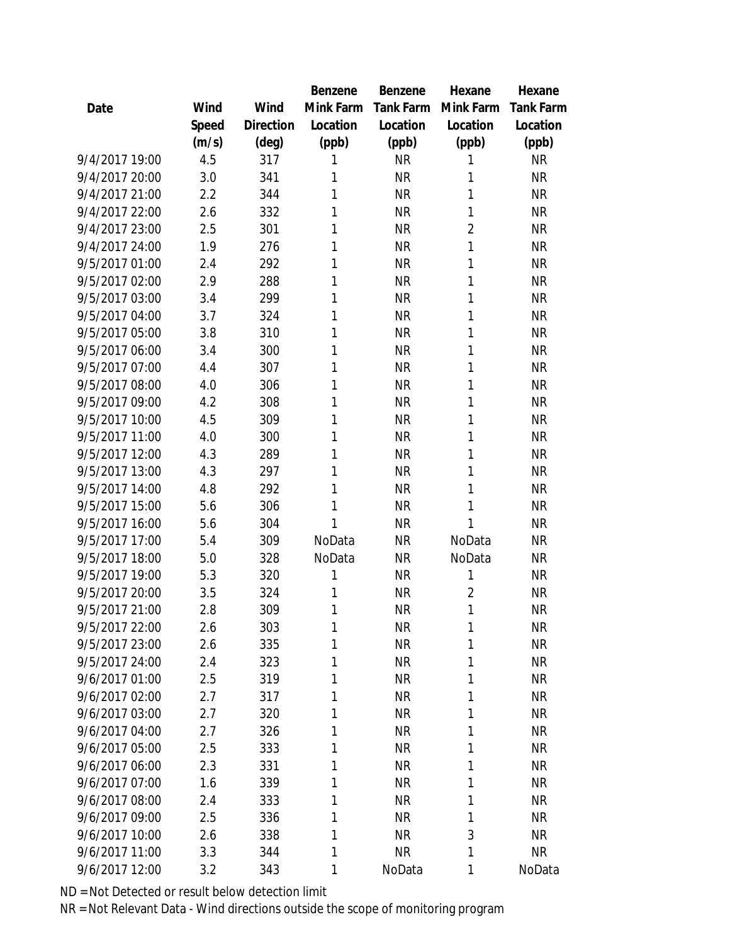|                |       |           | Benzene   | Benzene   | Hexane         | Hexane    |
|----------------|-------|-----------|-----------|-----------|----------------|-----------|
| Date           | Wind  | Wind      | Mink Farm | Tank Farm | Mink Farm      | Tank Farm |
|                | Speed | Direction | Location  | Location  | Location       | Location  |
|                | (m/s) | (deg)     | (ppb)     | (ppb)     | (ppb)          | (ppb)     |
| 9/4/2017 19:00 | 4.5   | 317       | 1         | <b>NR</b> | 1              | <b>NR</b> |
| 9/4/2017 20:00 | 3.0   | 341       | 1         | <b>NR</b> | 1              | <b>NR</b> |
| 9/4/2017 21:00 | 2.2   | 344       | 1         | <b>NR</b> | 1              | <b>NR</b> |
| 9/4/2017 22:00 | 2.6   | 332       | 1         | <b>NR</b> | 1              | <b>NR</b> |
| 9/4/2017 23:00 | 2.5   | 301       | 1         | <b>NR</b> | $\overline{2}$ | <b>NR</b> |
| 9/4/2017 24:00 | 1.9   | 276       | 1         | <b>NR</b> | 1              | <b>NR</b> |
| 9/5/2017 01:00 | 2.4   | 292       | 1         | <b>NR</b> | 1              | <b>NR</b> |
| 9/5/2017 02:00 | 2.9   | 288       | 1         | <b>NR</b> | 1              | <b>NR</b> |
| 9/5/2017 03:00 | 3.4   | 299       | 1         | <b>NR</b> | 1              | <b>NR</b> |
| 9/5/2017 04:00 | 3.7   | 324       | 1         | <b>NR</b> | 1              | <b>NR</b> |
| 9/5/2017 05:00 | 3.8   | 310       | 1         | <b>NR</b> | 1              | <b>NR</b> |
| 9/5/2017 06:00 | 3.4   | 300       | 1         | <b>NR</b> | 1              | <b>NR</b> |
| 9/5/2017 07:00 | 4.4   | 307       | 1         | <b>NR</b> | 1              | <b>NR</b> |
| 9/5/2017 08:00 | 4.0   | 306       | 1         | <b>NR</b> | 1              | <b>NR</b> |
| 9/5/2017 09:00 | 4.2   | 308       | 1         | <b>NR</b> | 1              | <b>NR</b> |
| 9/5/2017 10:00 | 4.5   | 309       | 1         | <b>NR</b> | 1              | <b>NR</b> |
| 9/5/2017 11:00 | 4.0   | 300       | 1         | <b>NR</b> | 1              | <b>NR</b> |
| 9/5/2017 12:00 | 4.3   | 289       | 1         | <b>NR</b> | 1              | <b>NR</b> |
| 9/5/2017 13:00 | 4.3   | 297       | 1         | <b>NR</b> | 1              | <b>NR</b> |
| 9/5/2017 14:00 | 4.8   | 292       | 1         | <b>NR</b> | 1              | <b>NR</b> |
| 9/5/2017 15:00 | 5.6   | 306       | 1         | <b>NR</b> | 1              | <b>NR</b> |
| 9/5/2017 16:00 | 5.6   | 304       | 1         | <b>NR</b> | 1              | <b>NR</b> |
| 9/5/2017 17:00 | 5.4   | 309       | NoData    | <b>NR</b> | NoData         | <b>NR</b> |
| 9/5/2017 18:00 | 5.0   | 328       | NoData    | <b>NR</b> | NoData         | <b>NR</b> |
| 9/5/2017 19:00 | 5.3   | 320       | 1         | <b>NR</b> | 1              | <b>NR</b> |
| 9/5/2017 20:00 | 3.5   | 324       | 1         | <b>NR</b> | $\overline{2}$ | <b>NR</b> |
| 9/5/2017 21:00 | 2.8   | 309       | 1         | <b>NR</b> | 1              | <b>NR</b> |
| 9/5/2017 22:00 | 2.6   | 303       | 1         | <b>NR</b> | 1              | <b>NR</b> |
| 9/5/2017 23:00 | 2.6   | 335       | 1         | <b>NR</b> | 1              | <b>NR</b> |
| 9/5/2017 24:00 | 2.4   | 323       | 1         | <b>NR</b> | 1              | <b>NR</b> |
| 9/6/2017 01:00 | 2.5   | 319       | 1         | <b>NR</b> | 1              | <b>NR</b> |
| 9/6/2017 02:00 | 2.7   | 317       | 1         | <b>NR</b> | 1              | <b>NR</b> |
| 9/6/2017 03:00 | 2.7   | 320       | 1         | <b>NR</b> | 1              | <b>NR</b> |
| 9/6/2017 04:00 | 2.7   | 326       | 1         | <b>NR</b> | 1              | <b>NR</b> |
| 9/6/2017 05:00 | 2.5   | 333       | 1         | <b>NR</b> | 1              | <b>NR</b> |
| 9/6/2017 06:00 | 2.3   | 331       | 1         | <b>NR</b> | 1              | <b>NR</b> |
| 9/6/2017 07:00 | 1.6   | 339       | 1         | <b>NR</b> | 1              | <b>NR</b> |
| 9/6/2017 08:00 | 2.4   | 333       | 1         | <b>NR</b> | 1              | <b>NR</b> |
| 9/6/2017 09:00 | 2.5   | 336       | 1         | <b>NR</b> | 1              | <b>NR</b> |
| 9/6/2017 10:00 | 2.6   | 338       | 1         | <b>NR</b> | 3              | NR        |
| 9/6/2017 11:00 | 3.3   | 344       | 1         | <b>NR</b> | 1              | <b>NR</b> |
| 9/6/2017 12:00 | 3.2   | 343       | 1         | NoData    | 1              | NoData    |
|                |       |           |           |           |                |           |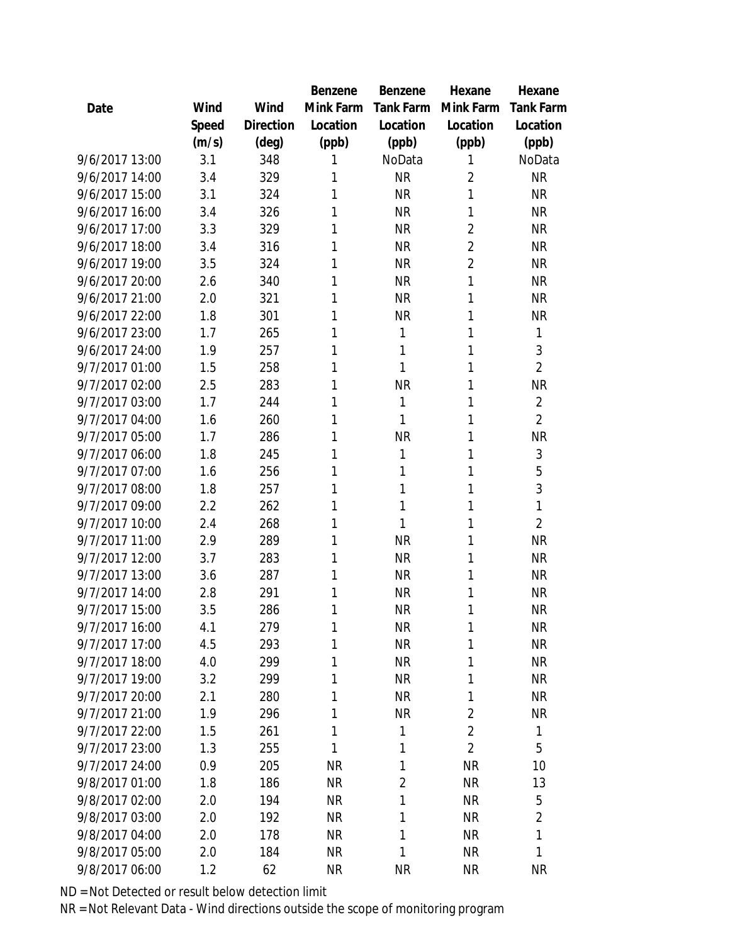|                |       |           | Benzene   | Benzene          | Hexane         | Hexane           |
|----------------|-------|-----------|-----------|------------------|----------------|------------------|
| Date           | Wind  | Wind      | Mink Farm | <b>Tank Farm</b> | Mink Farm      | <b>Tank Farm</b> |
|                | Speed | Direction | Location  | Location         | Location       | Location         |
|                | (m/s) | (deg)     | (ppb)     | (ppb)            | (ppb)          | (ppb)            |
| 9/6/2017 13:00 | 3.1   | 348       | 1         | NoData           | 1              | NoData           |
| 9/6/2017 14:00 | 3.4   | 329       | 1         | <b>NR</b>        | $\overline{2}$ | <b>NR</b>        |
| 9/6/2017 15:00 | 3.1   | 324       | 1         | <b>NR</b>        | 1              | <b>NR</b>        |
| 9/6/2017 16:00 | 3.4   | 326       | 1         | <b>NR</b>        | 1              | <b>NR</b>        |
| 9/6/2017 17:00 | 3.3   | 329       | 1         | <b>NR</b>        | 2              | <b>NR</b>        |
| 9/6/2017 18:00 | 3.4   | 316       | 1         | <b>NR</b>        | 2              | <b>NR</b>        |
| 9/6/2017 19:00 | 3.5   | 324       | 1         | <b>NR</b>        | $\overline{2}$ | <b>NR</b>        |
| 9/6/2017 20:00 | 2.6   | 340       | 1         | <b>NR</b>        | 1              | <b>NR</b>        |
| 9/6/2017 21:00 | 2.0   | 321       | 1         | <b>NR</b>        | 1              | <b>NR</b>        |
| 9/6/2017 22:00 | 1.8   | 301       | 1         | <b>NR</b>        | 1              | <b>NR</b>        |
| 9/6/2017 23:00 | 1.7   | 265       | 1         | 1                | 1              | 1                |
| 9/6/2017 24:00 | 1.9   | 257       | 1         | 1                | 1              | 3                |
| 9/7/2017 01:00 | 1.5   | 258       | 1         | 1                | 1              | $\overline{2}$   |
| 9/7/2017 02:00 | 2.5   | 283       | 1         | <b>NR</b>        | 1              | <b>NR</b>        |
| 9/7/2017 03:00 | 1.7   | 244       | 1         | 1                | 1              | $\overline{2}$   |
| 9/7/2017 04:00 | 1.6   | 260       | 1         | 1                | 1              | $\overline{2}$   |
| 9/7/2017 05:00 | 1.7   | 286       | 1         | <b>NR</b>        | 1              | <b>NR</b>        |
| 9/7/2017 06:00 | 1.8   | 245       | 1         | 1                | 1              | 3                |
| 9/7/2017 07:00 | 1.6   | 256       | 1         | 1                | 1              | 5                |
| 9/7/2017 08:00 | 1.8   | 257       | 1         | 1                | 1              | 3                |
| 9/7/2017 09:00 | 2.2   | 262       | 1         | 1                | 1              | 1                |
| 9/7/2017 10:00 | 2.4   | 268       | 1         | 1                | 1              | $\overline{2}$   |
| 9/7/2017 11:00 | 2.9   | 289       | 1         | <b>NR</b>        | 1              | <b>NR</b>        |
| 9/7/2017 12:00 | 3.7   | 283       | 1         | <b>NR</b>        | 1              | <b>NR</b>        |
| 9/7/2017 13:00 | 3.6   | 287       | 1         | <b>NR</b>        | 1              | <b>NR</b>        |
| 9/7/2017 14:00 | 2.8   | 291       | 1         | <b>NR</b>        | 1              | <b>NR</b>        |
| 9/7/2017 15:00 | 3.5   | 286       | 1         | <b>NR</b>        | 1              | <b>NR</b>        |
| 9/7/2017 16:00 | 4.1   | 279       | 1         | <b>NR</b>        | 1              | <b>NR</b>        |
| 9/7/2017 17:00 | 4.5   | 293       | 1         | <b>NR</b>        | 1              | <b>NR</b>        |
| 9/7/2017 18:00 | 4.0   | 299       | 1         | <b>NR</b>        | 1              | <b>NR</b>        |
| 9/7/2017 19:00 | 3.2   | 299       | 1         | <b>NR</b>        | 1              | <b>NR</b>        |
| 9/7/2017 20:00 | 2.1   | 280       | 1         | <b>NR</b>        | 1              | <b>NR</b>        |
| 9/7/2017 21:00 | 1.9   | 296       | 1         | <b>NR</b>        | $\overline{2}$ | <b>NR</b>        |
| 9/7/2017 22:00 | 1.5   | 261       | 1         | 1                | $\overline{2}$ | 1                |
| 9/7/2017 23:00 | 1.3   | 255       | 1         | 1                | $\overline{2}$ | 5                |
| 9/7/2017 24:00 | 0.9   | 205       | <b>NR</b> | 1                | <b>NR</b>      | 10               |
| 9/8/2017 01:00 | 1.8   | 186       | <b>NR</b> | $\overline{2}$   | <b>NR</b>      | 13               |
| 9/8/2017 02:00 | 2.0   | 194       | <b>NR</b> | 1                | <b>NR</b>      | 5                |
| 9/8/2017 03:00 | 2.0   | 192       | NR        | 1                | <b>NR</b>      | $\overline{2}$   |
| 9/8/2017 04:00 | 2.0   | 178       | NR        | 1                | <b>NR</b>      | $\mathbf{1}$     |
| 9/8/2017 05:00 | 2.0   | 184       | <b>NR</b> | 1                | <b>NR</b>      | 1                |
| 9/8/2017 06:00 | 1.2   | 62        | <b>NR</b> | <b>NR</b>        | <b>NR</b>      | <b>NR</b>        |
|                |       |           |           |                  |                |                  |